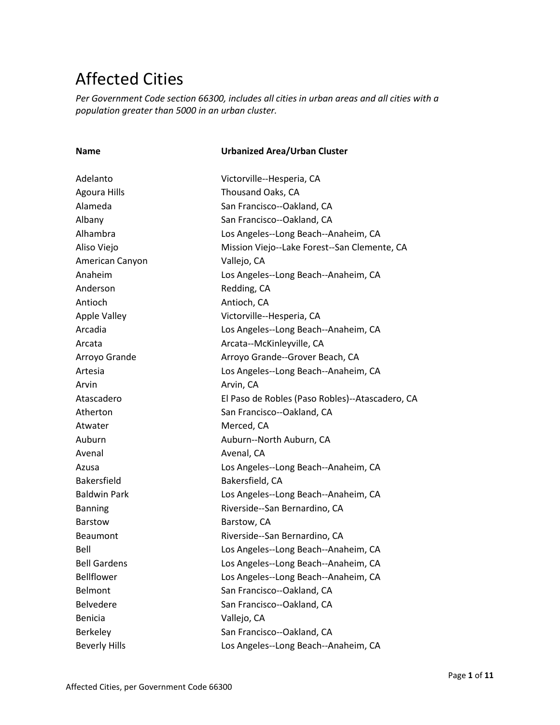## Affected Cities

*Per Government Code section 66300, includes all cities in urban areas and all cities with a population greater than 5000 in an urban cluster.*

| <b>Name</b>          | <b>Urbanized Area/Urban Cluster</b>             |
|----------------------|-------------------------------------------------|
| Adelanto             | Victorville--Hesperia, CA                       |
| <b>Agoura Hills</b>  | Thousand Oaks, CA                               |
| Alameda              | San Francisco--Oakland, CA                      |
| Albany               | San Francisco--Oakland, CA                      |
| Alhambra             | Los Angeles--Long Beach--Anaheim, CA            |
| Aliso Viejo          | Mission Viejo--Lake Forest--San Clemente, CA    |
| American Canyon      | Vallejo, CA                                     |
| Anaheim              | Los Angeles--Long Beach--Anaheim, CA            |
| Anderson             | Redding, CA                                     |
| Antioch              | Antioch, CA                                     |
| Apple Valley         | Victorville--Hesperia, CA                       |
| Arcadia              | Los Angeles--Long Beach--Anaheim, CA            |
| Arcata               | Arcata--McKinleyville, CA                       |
| Arroyo Grande        | Arroyo Grande--Grover Beach, CA                 |
| Artesia              | Los Angeles--Long Beach--Anaheim, CA            |
| Arvin                | Arvin, CA                                       |
| Atascadero           | El Paso de Robles (Paso Robles)--Atascadero, CA |
| Atherton             | San Francisco--Oakland, CA                      |
| Atwater              | Merced, CA                                      |
| Auburn               | Auburn--North Auburn, CA                        |
| Avenal               | Avenal, CA                                      |
| Azusa                | Los Angeles--Long Beach--Anaheim, CA            |
| <b>Bakersfield</b>   | Bakersfield, CA                                 |
| <b>Baldwin Park</b>  | Los Angeles--Long Beach--Anaheim, CA            |
| <b>Banning</b>       | Riverside--San Bernardino, CA                   |
| <b>Barstow</b>       | Barstow, CA                                     |
| <b>Beaumont</b>      | Riverside--San Bernardino, CA                   |
| Bell                 | Los Angeles--Long Beach--Anaheim, CA            |
| <b>Bell Gardens</b>  | Los Angeles--Long Beach--Anaheim, CA            |
| Bellflower           | Los Angeles--Long Beach--Anaheim, CA            |
| Belmont              | San Francisco--Oakland, CA                      |
| <b>Belvedere</b>     | San Francisco--Oakland, CA                      |
| <b>Benicia</b>       | Vallejo, CA                                     |
| Berkeley             | San Francisco--Oakland, CA                      |
| <b>Beverly Hills</b> | Los Angeles--Long Beach--Anaheim, CA            |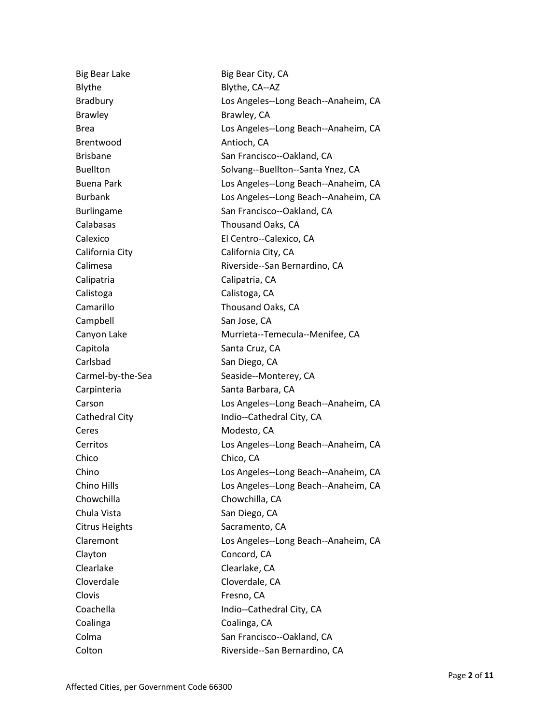| <b>Big Bear Lake</b>  | Big Bear City, CA                    |
|-----------------------|--------------------------------------|
| Blythe                | Blythe, CA--AZ                       |
| <b>Bradbury</b>       | Los Angeles--Long Beach--Anaheim, CA |
| <b>Brawley</b>        | Brawley, CA                          |
| <b>Brea</b>           | Los Angeles--Long Beach--Anaheim, CA |
| Brentwood             | Antioch, CA                          |
| <b>Brisbane</b>       | San Francisco--Oakland, CA           |
| <b>Buellton</b>       | Solvang--Buellton--Santa Ynez, CA    |
| <b>Buena Park</b>     | Los Angeles--Long Beach--Anaheim, CA |
| <b>Burbank</b>        | Los Angeles--Long Beach--Anaheim, CA |
| <b>Burlingame</b>     | San Francisco--Oakland, CA           |
| Calabasas             | Thousand Oaks, CA                    |
| Calexico              | El Centro--Calexico, CA              |
| California City       | California City, CA                  |
| Calimesa              | Riverside--San Bernardino, CA        |
| Calipatria            | Calipatria, CA                       |
| Calistoga             | Calistoga, CA                        |
| Camarillo             | Thousand Oaks, CA                    |
| Campbell              | San Jose, CA                         |
| Canyon Lake           | Murrieta--Temecula--Menifee, CA      |
| Capitola              | Santa Cruz, CA                       |
| Carlsbad              | San Diego, CA                        |
| Carmel-by-the-Sea     | Seaside--Monterey, CA                |
| Carpinteria           | Santa Barbara, CA                    |
| Carson                | Los Angeles--Long Beach--Anaheim, CA |
| Cathedral City        | Indio--Cathedral City, CA            |
| Ceres                 | Modesto, CA                          |
| Cerritos              | Los Angeles--Long Beach--Anaheim, CA |
| Chico                 | Chico, CA                            |
| Chino                 | Los Angeles--Long Beach--Anaheim, CA |
| Chino Hills           | Los Angeles--Long Beach--Anaheim, CA |
| Chowchilla            | Chowchilla, CA                       |
| Chula Vista           | San Diego, CA                        |
| <b>Citrus Heights</b> | Sacramento, CA                       |
| Claremont             | Los Angeles--Long Beach--Anaheim, CA |
| Clayton               | Concord, CA                          |
| Clearlake             | Clearlake, CA                        |
| Cloverdale            | Cloverdale, CA                       |
| Clovis                | Fresno, CA                           |
| Coachella             | Indio--Cathedral City, CA            |
| Coalinga              | Coalinga, CA                         |
| Colma                 | San Francisco--Oakland, CA           |
| Colton                | Riverside--San Bernardino, CA        |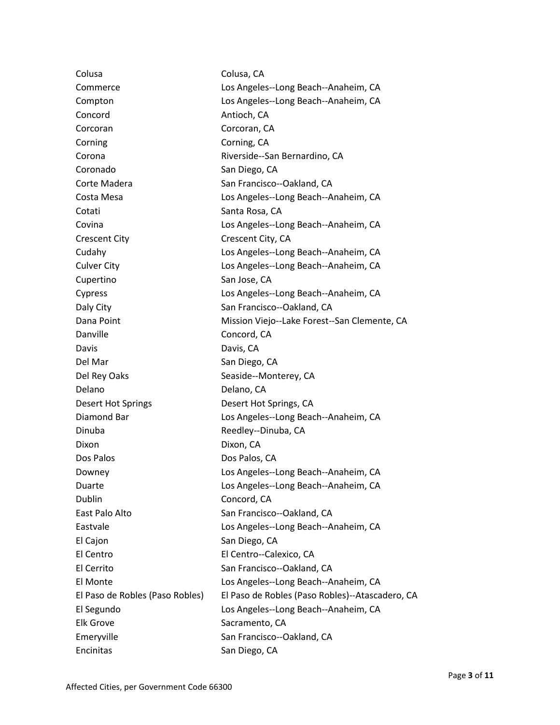| Colusa                          | Colusa, CA                                      |
|---------------------------------|-------------------------------------------------|
| Commerce                        | Los Angeles--Long Beach--Anaheim, CA            |
| Compton                         | Los Angeles--Long Beach--Anaheim, CA            |
| Concord                         | Antioch, CA                                     |
| Corcoran                        | Corcoran, CA                                    |
| Corning                         | Corning, CA                                     |
| Corona                          | Riverside--San Bernardino, CA                   |
| Coronado                        | San Diego, CA                                   |
| Corte Madera                    | San Francisco--Oakland, CA                      |
| Costa Mesa                      | Los Angeles--Long Beach--Anaheim, CA            |
| Cotati                          | Santa Rosa, CA                                  |
| Covina                          | Los Angeles--Long Beach--Anaheim, CA            |
| <b>Crescent City</b>            | Crescent City, CA                               |
| Cudahy                          | Los Angeles--Long Beach--Anaheim, CA            |
| <b>Culver City</b>              | Los Angeles--Long Beach--Anaheim, CA            |
| Cupertino                       | San Jose, CA                                    |
| Cypress                         | Los Angeles--Long Beach--Anaheim, CA            |
| Daly City                       | San Francisco--Oakland, CA                      |
| Dana Point                      | Mission Viejo--Lake Forest--San Clemente, CA    |
| Danville                        | Concord, CA                                     |
| Davis                           | Davis, CA                                       |
| Del Mar                         | San Diego, CA                                   |
| Del Rey Oaks                    | Seaside--Monterey, CA                           |
| Delano                          | Delano, CA                                      |
| <b>Desert Hot Springs</b>       | Desert Hot Springs, CA                          |
| Diamond Bar                     | Los Angeles--Long Beach--Anaheim, CA            |
| Dinuba                          | Reedley--Dinuba, CA                             |
| Dixon                           | Dixon, CA                                       |
| Dos Palos                       | Dos Palos, CA                                   |
| Downey                          | Los Angeles--Long Beach--Anaheim, CA            |
| Duarte                          | Los Angeles--Long Beach--Anaheim, CA            |
| Dublin                          | Concord, CA                                     |
| East Palo Alto                  | San Francisco--Oakland, CA                      |
| Eastvale                        | Los Angeles--Long Beach--Anaheim, CA            |
| El Cajon                        | San Diego, CA                                   |
| El Centro                       | El Centro--Calexico, CA                         |
| El Cerrito                      | San Francisco--Oakland, CA                      |
| El Monte                        | Los Angeles--Long Beach--Anaheim, CA            |
| El Paso de Robles (Paso Robles) | El Paso de Robles (Paso Robles)--Atascadero, CA |
| El Segundo                      | Los Angeles--Long Beach--Anaheim, CA            |
| <b>Elk Grove</b>                | Sacramento, CA                                  |
| Emeryville                      | San Francisco--Oakland, CA                      |
| Encinitas                       | San Diego, CA                                   |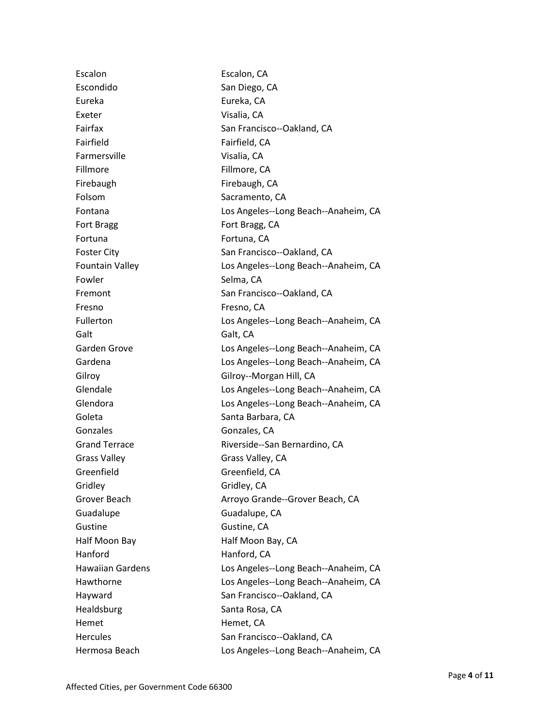| Escalon                 | Escalon, CA                          |
|-------------------------|--------------------------------------|
| Escondido               | San Diego, CA                        |
| Eureka                  | Eureka, CA                           |
| Exeter                  | Visalia, CA                          |
| Fairfax                 | San Francisco--Oakland, CA           |
| Fairfield               | Fairfield, CA                        |
| Farmersville            | Visalia, CA                          |
| Fillmore                | Fillmore, CA                         |
| Firebaugh               | Firebaugh, CA                        |
| Folsom                  | Sacramento, CA                       |
| Fontana                 | Los Angeles--Long Beach--Anaheim, CA |
| Fort Bragg              | Fort Bragg, CA                       |
| Fortuna                 | Fortuna, CA                          |
| <b>Foster City</b>      | San Francisco--Oakland, CA           |
| <b>Fountain Valley</b>  | Los Angeles--Long Beach--Anaheim, CA |
| Fowler                  | Selma, CA                            |
| Fremont                 | San Francisco--Oakland, CA           |
| Fresno                  | Fresno, CA                           |
| Fullerton               | Los Angeles--Long Beach--Anaheim, CA |
| Galt                    | Galt, CA                             |
| Garden Grove            | Los Angeles--Long Beach--Anaheim, CA |
| Gardena                 | Los Angeles--Long Beach--Anaheim, CA |
| Gilroy                  | Gilroy--Morgan Hill, CA              |
| Glendale                | Los Angeles--Long Beach--Anaheim, CA |
| Glendora                | Los Angeles--Long Beach--Anaheim, CA |
| Goleta                  | Santa Barbara, CA                    |
| Gonzales                | Gonzales, CA                         |
| <b>Grand Terrace</b>    | Riverside--San Bernardino, CA        |
| <b>Grass Valley</b>     | Grass Valley, CA                     |
| Greenfield              | Greenfield, CA                       |
| Gridley                 | Gridley, CA                          |
| Grover Beach            | Arroyo Grande--Grover Beach, CA      |
| Guadalupe               | Guadalupe, CA                        |
| Gustine                 | Gustine, CA                          |
| Half Moon Bay           | Half Moon Bay, CA                    |
| Hanford                 | Hanford, CA                          |
| <b>Hawaiian Gardens</b> | Los Angeles--Long Beach--Anaheim, CA |
| Hawthorne               | Los Angeles--Long Beach--Anaheim, CA |
| Hayward                 | San Francisco--Oakland, CA           |
| Healdsburg              | Santa Rosa, CA                       |
| Hemet                   | Hemet, CA                            |
| <b>Hercules</b>         | San Francisco--Oakland, CA           |
| Hermosa Beach           | Los Angeles--Long Beach--Anaheim, CA |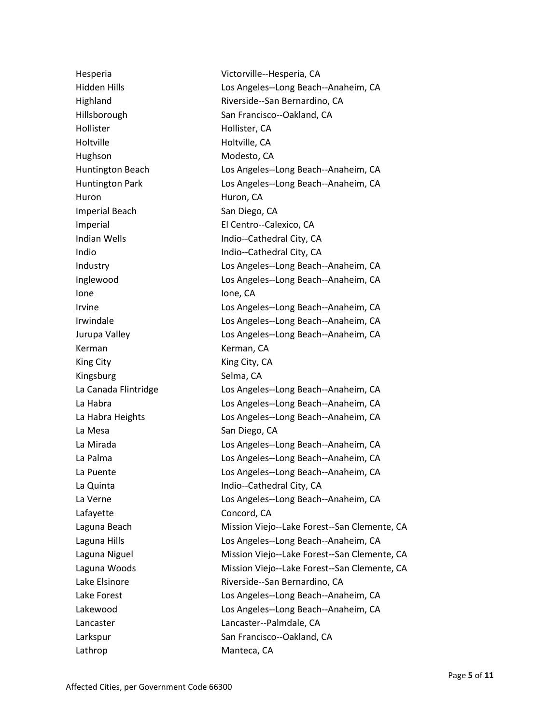Hollister Hollister, CA Holtville Holtville, CA Hughson Modesto, CA Huron Huron, CA Imperial Beach San Diego, CA Ione Ione, CA Kerman Kerman, CA King City **King City** Kingsburg Selma, CA La Mesa San Diego, CA Lafayette Concord, CA Lathrop Manteca, CA

Hesperia Victorville--Hesperia, CA Hidden Hills Los Angeles--Long Beach--Anaheim, CA Highland Riverside--San Bernardino, CA Hillsborough San Francisco--Oakland, CA Huntington Beach **Los Angeles--Long Beach--Anaheim, CA** Huntington Park Los Angeles--Long Beach--Anaheim, CA Imperial El Centro--Calexico, CA Indian Wells **Indian Wells** Indio--Cathedral City, CA Indio Indio--Cathedral City, CA Industry Los Angeles--Long Beach--Anaheim, CA Inglewood Los Angeles--Long Beach--Anaheim, CA Irvine Los Angeles--Long Beach--Anaheim, CA Irwindale Los Angeles--Long Beach--Anaheim, CA Jurupa Valley Los Angeles--Long Beach--Anaheim, CA La Canada Flintridge Los Angeles--Long Beach--Anaheim, CA La Habra Los Angeles--Long Beach--Anaheim, CA La Habra Heights Los Angeles--Long Beach--Anaheim, CA La Mirada Los Angeles--Long Beach--Anaheim, CA La Palma Los Angeles--Long Beach--Anaheim, CA La Puente Los Angeles--Long Beach--Anaheim, CA La Quinta Indio--Cathedral City, CA La Verne Los Angeles--Long Beach--Anaheim, CA Laguna Beach Mission Viejo--Lake Forest--San Clemente, CA Laguna Hills Los Angeles--Long Beach--Anaheim, CA Laguna Niguel **Mission Viejo--Lake Forest--San Clemente, CA** Laguna Woods **Mission Viejo--Lake Forest--San Clemente, CA** Lake Elsinore **Riverside--San Bernardino, CA** Lake Forest Los Angeles--Long Beach--Anaheim, CA Lakewood Los Angeles--Long Beach--Anaheim, CA Lancaster Lancaster--Palmdale, CA Larkspur San Francisco--Oakland, CA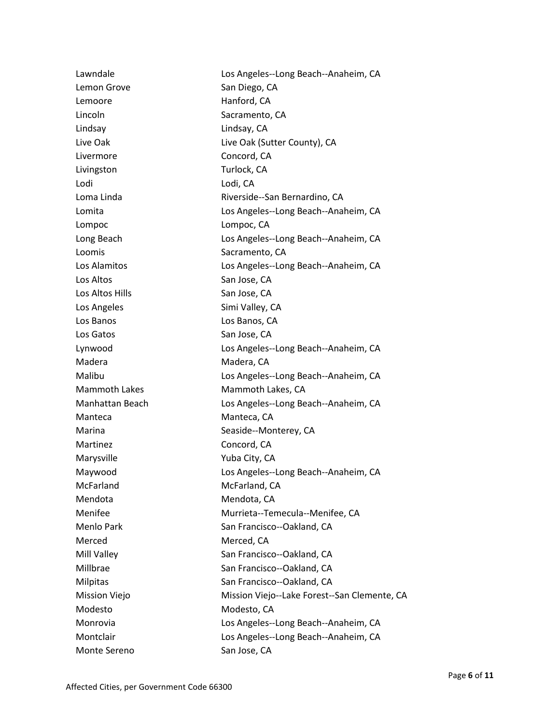| Lawndale             | Los Angeles--Long Beach--Anaheim, CA         |
|----------------------|----------------------------------------------|
| Lemon Grove          | San Diego, CA                                |
| Lemoore              | Hanford, CA                                  |
| Lincoln              | Sacramento, CA                               |
| Lindsay              | Lindsay, CA                                  |
| Live Oak             | Live Oak (Sutter County), CA                 |
| Livermore            | Concord, CA                                  |
| Livingston           | Turlock, CA                                  |
| Lodi                 | Lodi, CA                                     |
| Loma Linda           | Riverside--San Bernardino, CA                |
| Lomita               | Los Angeles--Long Beach--Anaheim, CA         |
| Lompoc               | Lompoc, CA                                   |
| Long Beach           | Los Angeles--Long Beach--Anaheim, CA         |
| Loomis               | Sacramento, CA                               |
| Los Alamitos         | Los Angeles--Long Beach--Anaheim, CA         |
| Los Altos            | San Jose, CA                                 |
| Los Altos Hills      | San Jose, CA                                 |
| Los Angeles          | Simi Valley, CA                              |
| Los Banos            | Los Banos, CA                                |
| Los Gatos            | San Jose, CA                                 |
| Lynwood              | Los Angeles--Long Beach--Anaheim, CA         |
| Madera               | Madera, CA                                   |
| Malibu               | Los Angeles--Long Beach--Anaheim, CA         |
| <b>Mammoth Lakes</b> | Mammoth Lakes, CA                            |
| Manhattan Beach      | Los Angeles--Long Beach--Anaheim, CA         |
| Manteca              | Manteca, CA                                  |
| Marina               | Seaside--Monterey, CA                        |
| Martinez             | Concord, CA                                  |
| Marysville           | Yuba City, CA                                |
| Maywood              | Los Angeles--Long Beach--Anaheim, CA         |
| McFarland            | McFarland, CA                                |
| Mendota              | Mendota, CA                                  |
| Menifee              | Murrieta--Temecula--Menifee, CA              |
| <b>Menlo Park</b>    | San Francisco--Oakland, CA                   |
| Merced               | Merced, CA                                   |
| Mill Valley          | San Francisco--Oakland, CA                   |
| Millbrae             | San Francisco--Oakland, CA                   |
| Milpitas             | San Francisco--Oakland, CA                   |
| <b>Mission Viejo</b> | Mission Viejo--Lake Forest--San Clemente, CA |
| Modesto              | Modesto, CA                                  |
| Monrovia             | Los Angeles--Long Beach--Anaheim, CA         |
| Montclair            | Los Angeles--Long Beach--Anaheim, CA         |
| Monte Sereno         | San Jose, CA                                 |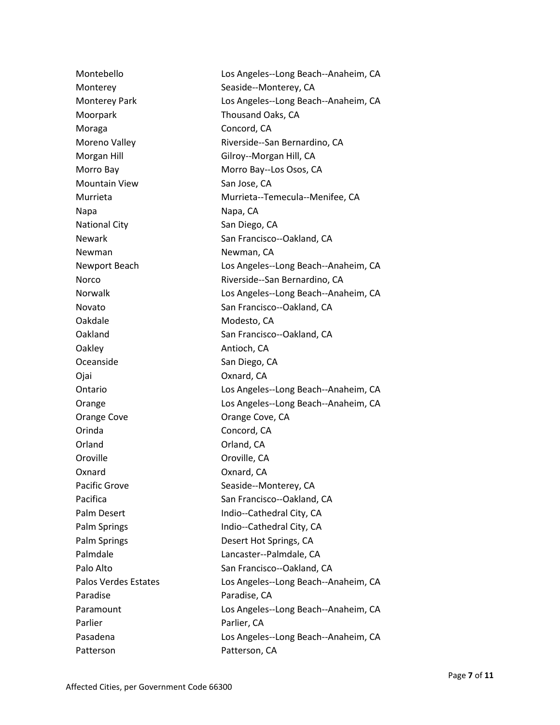| Montebello                  | Los Angeles--Long Beach--Anaheim, CA |
|-----------------------------|--------------------------------------|
| Monterey                    | Seaside--Monterey, CA                |
| <b>Monterey Park</b>        | Los Angeles--Long Beach--Anaheim, CA |
| Moorpark                    | Thousand Oaks, CA                    |
| Moraga                      | Concord, CA                          |
| Moreno Valley               | Riverside--San Bernardino, CA        |
| Morgan Hill                 | Gilroy--Morgan Hill, CA              |
| Morro Bay                   | Morro Bay--Los Osos, CA              |
| <b>Mountain View</b>        | San Jose, CA                         |
| Murrieta                    | Murrieta--Temecula--Menifee, CA      |
| Napa                        | Napa, CA                             |
| <b>National City</b>        | San Diego, CA                        |
| <b>Newark</b>               | San Francisco--Oakland, CA           |
| Newman                      | Newman, CA                           |
| Newport Beach               | Los Angeles--Long Beach--Anaheim, CA |
| Norco                       | Riverside--San Bernardino, CA        |
| <b>Norwalk</b>              | Los Angeles--Long Beach--Anaheim, CA |
| Novato                      | San Francisco--Oakland, CA           |
| Oakdale                     | Modesto, CA                          |
| Oakland                     | San Francisco--Oakland, CA           |
| Oakley                      | Antioch, CA                          |
| Oceanside                   | San Diego, CA                        |
| Ojai                        | Oxnard, CA                           |
| Ontario                     | Los Angeles--Long Beach--Anaheim, CA |
| Orange                      | Los Angeles--Long Beach--Anaheim, CA |
| Orange Cove                 | Orange Cove, CA                      |
| Orinda                      | Concord, CA                          |
| Orland                      | Orland, CA                           |
| Oroville                    | Oroville, CA                         |
| Oxnard                      | Oxnard, CA                           |
| Pacific Grove               | Seaside--Monterey, CA                |
| Pacifica                    | San Francisco--Oakland, CA           |
| Palm Desert                 | Indio--Cathedral City, CA            |
| Palm Springs                | Indio--Cathedral City, CA            |
| Palm Springs                | Desert Hot Springs, CA               |
| Palmdale                    | Lancaster--Palmdale, CA              |
| Palo Alto                   | San Francisco--Oakland, CA           |
| <b>Palos Verdes Estates</b> | Los Angeles--Long Beach--Anaheim, CA |
| Paradise                    | Paradise, CA                         |
| Paramount                   | Los Angeles--Long Beach--Anaheim, CA |
| Parlier                     | Parlier, CA                          |
| Pasadena                    | Los Angeles--Long Beach--Anaheim, CA |
| Patterson                   | Patterson, CA                        |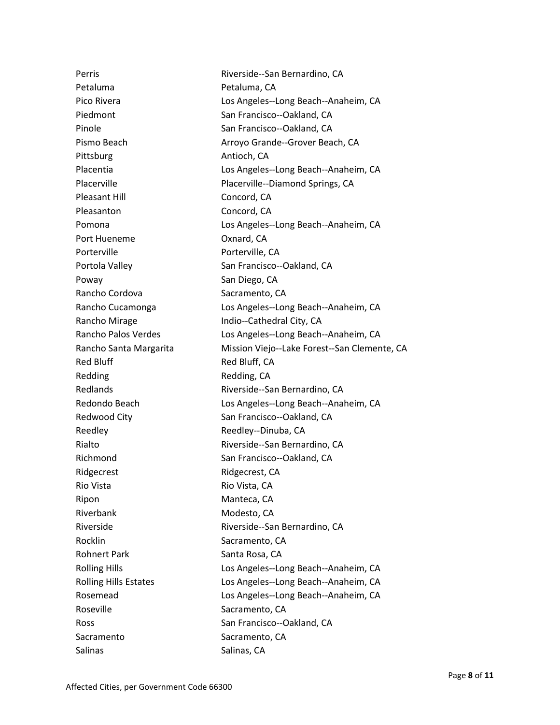Petaluma Petaluma, CA Piedmont San Francisco--Oakland, CA Pinole **San Francisco--Oakland, CA** Pittsburg **Antioch, CA** Pleasant Hill Concord, CA Pleasanton Concord, CA Port Hueneme **Oxnard**, CA Porterville **Porterville**, CA Portola Valley San Francisco--Oakland, CA Poway **San Diego, CA** Rancho Cordova Sacramento, CA Rancho Mirage Indio--Cathedral City, CA Red Bluff Red Bluff, CA Redding Redding, CA Redwood City **San Francisco--Oakland, CA** Reedley Reedley--Dinuba, CA Richmond San Francisco--Oakland, CA Ridgecrest Ridgecrest, CA Rio Vista **Rio Vista**, CA Ripon Manteca, CA Riverbank Modesto, CA Rocklin Sacramento, CA Rohnert Park Santa Rosa, CA Roseville Sacramento, CA Ross San Francisco--Oakland, CA Sacramento Sacramento, CA Salinas Salinas, CA

Perris **Perris Riverside--San Bernardino, CA** Pico Rivera **Los Angeles--Long Beach--Anaheim, CA** Pismo Beach **Arroyo Grande--Grover Beach, CA** Placentia Los Angeles--Long Beach--Anaheim, CA Placerville Placerville--Diamond Springs, CA Pomona Los Angeles--Long Beach--Anaheim, CA Rancho Cucamonga Los Angeles--Long Beach--Anaheim, CA Rancho Palos Verdes Los Angeles--Long Beach--Anaheim, CA Rancho Santa Margarita Mission Viejo--Lake Forest--San Clemente, CA Redlands Riverside--San Bernardino, CA Redondo Beach Los Angeles--Long Beach--Anaheim, CA Rialto Riverside--San Bernardino, CA Riverside Riverside--San Bernardino, CA Rolling Hills **No. 2018** Los Angeles--Long Beach--Anaheim, CA Rolling Hills Estates Los Angeles--Long Beach--Anaheim, CA Rosemead Los Angeles--Long Beach--Anaheim, CA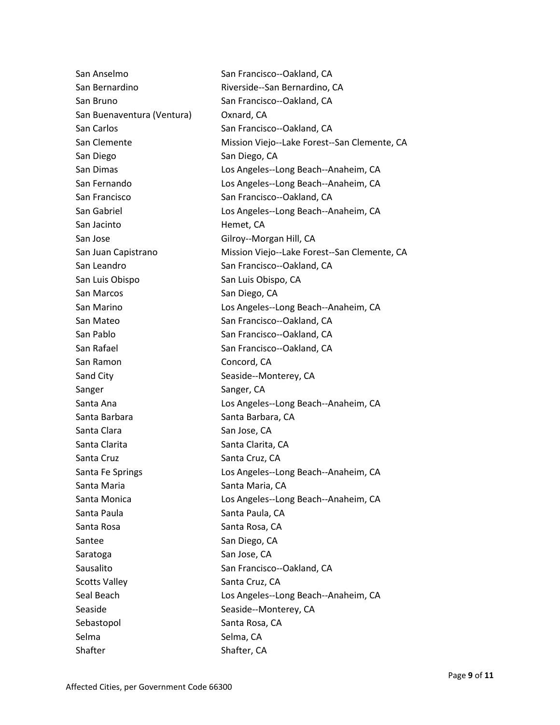San Anselmo San Francisco--Oakland, CA San Bernardino Riverside--San Bernardino, CA San Bruno San Francisco--Oakland, CA San Buenaventura (Ventura) Oxnard, CA San Carlos San Francisco--Oakland, CA San Clemente Mission Viejo--Lake Forest--San Clemente, CA San Diego San Diego, CA San Dimas Los Angeles--Long Beach--Anaheim, CA San Fernando Los Angeles--Long Beach--Anaheim, CA San Francisco San Francisco--Oakland, CA San Gabriel **Los Angeles--Long Beach--Anaheim, CA** San Jacinto **Hemet**, CA San Jose Gilroy--Morgan Hill, CA San Juan Capistrano Mission Viejo--Lake Forest--San Clemente, CA San Leandro San Francisco--Oakland, CA San Luis Obispo San Luis Obispo, CA San Marcos San Diego, CA San Marino Los Angeles--Long Beach--Anaheim, CA San Mateo San Francisco--Oakland, CA San Pablo San Francisco--Oakland, CA San Rafael San Francisco--Oakland, CA San Ramon Concord, CA Sand City Seaside--Monterey, CA Sanger Sanger, CA Santa Ana **Los Angeles--Long Beach--Anaheim, CA** Santa Barbara **Santa Barbara**, CA Santa Clara San Jose, CA Santa Clarita **Santa Clarita**, CA Santa Cruz Santa Cruz, CA Santa Fe Springs **Los Angeles--Long Beach--Anaheim, CA** Santa Maria **Maria Santa Maria, CA** Santa Monica Los Angeles--Long Beach--Anaheim, CA Santa Paula<br>
Santa Paula Santa Rosa Santa Rosa, CA Santee San Diego, CA Saratoga San Jose, CA Sausalito San Francisco--Oakland, CA Scotts Valley Santa Cruz, CA Seal Beach **Los Angeles--Long Beach--Anaheim, CA** Seaside Seaside--Monterey, CA Sebastopol Santa Rosa, CA Selma Selma, CA Shafter Shafter, CA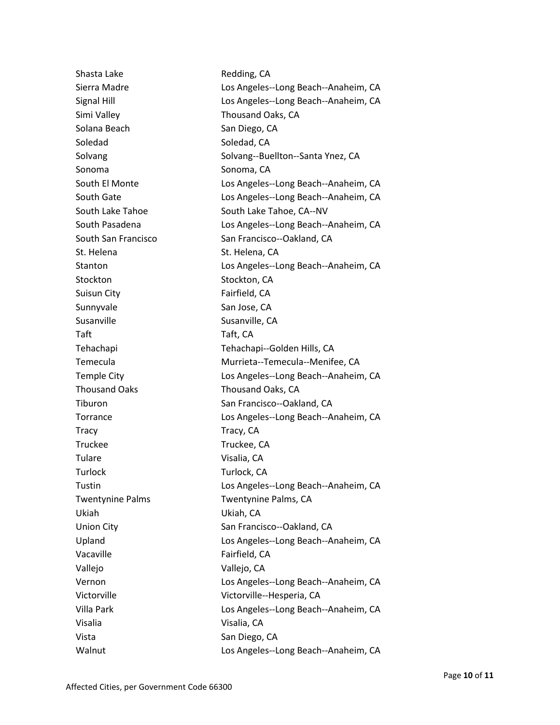| Shasta Lake             | Redding, CA                          |
|-------------------------|--------------------------------------|
| Sierra Madre            | Los Angeles--Long Beach--Anaheim, CA |
| Signal Hill             | Los Angeles--Long Beach--Anaheim, CA |
| Simi Valley             | Thousand Oaks, CA                    |
| Solana Beach            | San Diego, CA                        |
| Soledad                 | Soledad, CA                          |
| Solvang                 | Solvang--Buellton--Santa Ynez, CA    |
| Sonoma                  | Sonoma, CA                           |
| South El Monte          | Los Angeles--Long Beach--Anaheim, CA |
| South Gate              | Los Angeles--Long Beach--Anaheim, CA |
| South Lake Tahoe        | South Lake Tahoe, CA--NV             |
| South Pasadena          | Los Angeles--Long Beach--Anaheim, CA |
| South San Francisco     | San Francisco--Oakland, CA           |
| St. Helena              | St. Helena, CA                       |
| Stanton                 | Los Angeles--Long Beach--Anaheim, CA |
| Stockton                | Stockton, CA                         |
| Suisun City             | Fairfield, CA                        |
| Sunnyvale               | San Jose, CA                         |
| Susanville              | Susanville, CA                       |
| Taft                    | Taft, CA                             |
| Tehachapi               | Tehachapi--Golden Hills, CA          |
| Temecula                | Murrieta--Temecula--Menifee, CA      |
| <b>Temple City</b>      | Los Angeles--Long Beach--Anaheim, CA |
| <b>Thousand Oaks</b>    | Thousand Oaks, CA                    |
| Tiburon                 | San Francisco--Oakland, CA           |
| Torrance                | Los Angeles--Long Beach--Anaheim, CA |
| <b>Tracy</b>            | Tracy, CA                            |
| <b>Truckee</b>          | Truckee, CA                          |
| Tulare                  | Visalia, CA                          |
| Turlock                 | Turlock, CA                          |
| Tustin                  | Los Angeles--Long Beach--Anaheim, CA |
| <b>Twentynine Palms</b> | Twentynine Palms, CA                 |
| Ukiah                   | Ukiah, CA                            |
| <b>Union City</b>       | San Francisco--Oakland, CA           |
| Upland                  | Los Angeles--Long Beach--Anaheim, CA |
| Vacaville               | Fairfield, CA                        |
| Vallejo                 | Vallejo, CA                          |
| Vernon                  | Los Angeles--Long Beach--Anaheim, CA |
| Victorville             | Victorville--Hesperia, CA            |
| Villa Park              | Los Angeles--Long Beach--Anaheim, CA |
| Visalia                 | Visalia, CA                          |
| Vista                   | San Diego, CA                        |
| Walnut                  | Los Angeles--Long Beach--Anaheim, CA |